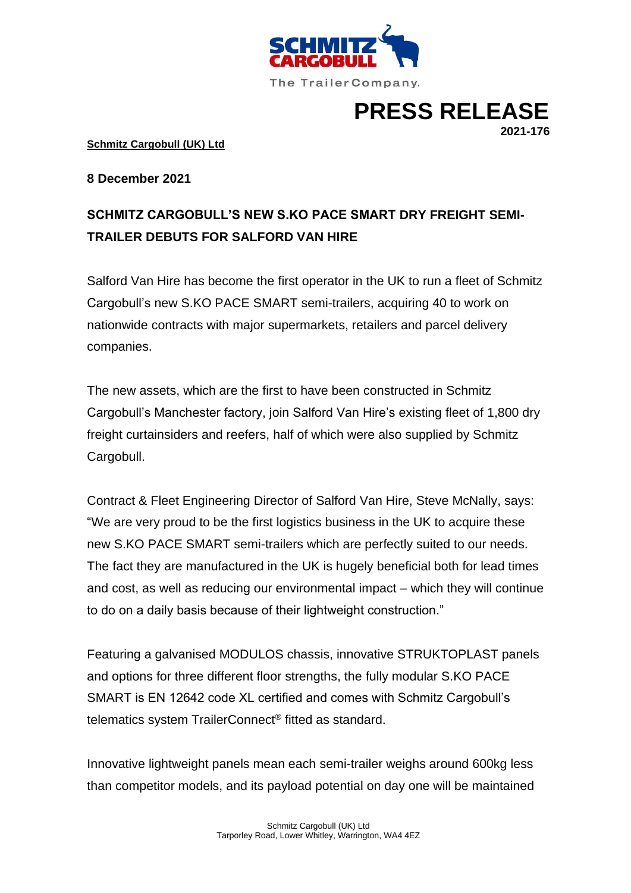

**PRESS RELEASE**

**2021-176**

**Schmitz Cargobull (UK) Ltd**

**8 December 2021**

# **SCHMITZ CARGOBULL'S NEW S.KO PACE SMART DRY FREIGHT SEMI-TRAILER DEBUTS FOR SALFORD VAN HIRE**

Salford Van Hire has become the first operator in the UK to run a fleet of Schmitz Cargobull's new S.KO PACE SMART semi-trailers, acquiring 40 to work on nationwide contracts with major supermarkets, retailers and parcel delivery companies.

The new assets, which are the first to have been constructed in Schmitz Cargobull's Manchester factory, join Salford Van Hire's existing fleet of 1,800 dry freight curtainsiders and reefers, half of which were also supplied by Schmitz Cargobull.

Contract & Fleet Engineering Director of Salford Van Hire, Steve McNally, says: "We are very proud to be the first logistics business in the UK to acquire these new S.KO PACE SMART semi-trailers which are perfectly suited to our needs. The fact they are manufactured in the UK is hugely beneficial both for lead times and cost, as well as reducing our environmental impact – which they will continue to do on a daily basis because of their lightweight construction."

Featuring a galvanised MODULOS chassis, innovative STRUKTOPLAST panels and options for three different floor strengths, the fully modular S.KO PACE SMART is EN 12642 code XL certified and comes with Schmitz Cargobull's telematics system TrailerConnect® fitted as standard.

Innovative lightweight panels mean each semi-trailer weighs around 600kg less than competitor models, and its payload potential on day one will be maintained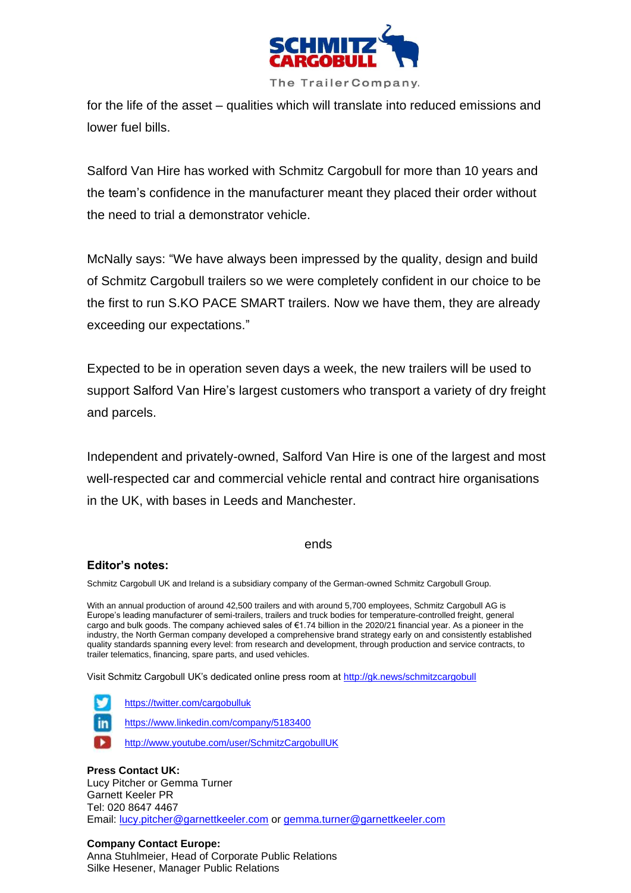

for the life of the asset – qualities which will translate into reduced emissions and lower fuel bills.

Salford Van Hire has worked with Schmitz Cargobull for more than 10 years and the team's confidence in the manufacturer meant they placed their order without the need to trial a demonstrator vehicle.

McNally says: "We have always been impressed by the quality, design and build of Schmitz Cargobull trailers so we were completely confident in our choice to be the first to run S.KO PACE SMART trailers. Now we have them, they are already exceeding our expectations."

Expected to be in operation seven days a week, the new trailers will be used to support Salford Van Hire's largest customers who transport a variety of dry freight and parcels.

Independent and privately-owned, Salford Van Hire is one of the largest and most well-respected car and commercial vehicle rental and contract hire organisations in the UK, with bases in Leeds and Manchester.

# ends

# **Editor's notes:**

Schmitz Cargobull UK and Ireland is a subsidiary company of the German-owned Schmitz Cargobull Group.

With an annual production of around 42,500 trailers and with around 5,700 employees, Schmitz Cargobull AG is Europe's leading manufacturer of semi-trailers, trailers and truck bodies for temperature-controlled freight, general cargo and bulk goods. The company achieved sales of €1.74 billion in the 2020/21 financial year. As a pioneer in the industry, the North German company developed a comprehensive brand strategy early on and consistently established quality standards spanning every level: from research and development, through production and service contracts, to trailer telematics, financing, spare parts, and used vehicles.

Visit Schmitz Cargobull UK's dedicated online press room at<http://gk.news/schmitzcargobull>



<https://twitter.com/cargobulluk>

<https://www.linkedin.com/company/5183400>

<http://www.youtube.com/user/SchmitzCargobullUK>

# **Press Contact UK:**

Lucy Pitcher or Gemma Turner Garnett Keeler PR Tel: 020 8647 4467 Email: [lucy.pitcher@garnettkeeler.com](mailto:lucy.pitcher@garnettkeeler.com) or [gemma.turner@garnettkeeler.com](mailto:gemma.turner@garnettkeeler.com)

# **Company Contact Europe:**

Anna Stuhlmeier, Head of Corporate Public Relations Silke Hesener, Manager Public Relations